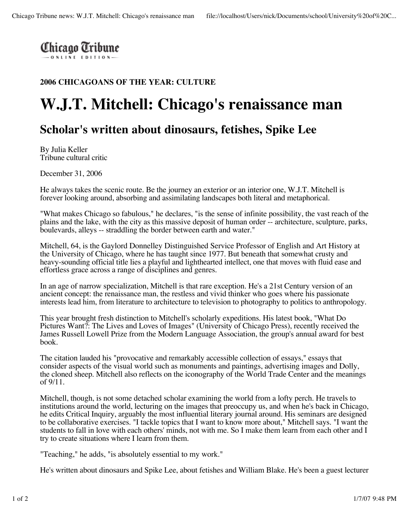## **2006 CHICAGOANS OF THE YEAR: CULTURE**

## **W.J.T. Mitchell: Chicago's renaissance man**

## **Scholar's written about dinosaurs, fetishes, Spike Lee**

By Julia Keller Tribune cultural critic

December 31, 2006

He always takes the scenic route. Be the journey an exterior or an interior one, W.J.T. Mitchell is forever looking around, absorbing and assimilating landscapes both literal and metaphorical.

"What makes Chicago so fabulous," he declares, "is the sense of infinite possibility, the vast reach of the plains and the lake, with the city as this massive deposit of human order -- architecture, sculpture, parks, boulevards, alleys -- straddling the border between earth and water."

Mitchell, 64, is the Gaylord Donnelley Distinguished Service Professor of English and Art History at the University of Chicago, where he has taught since 1977. But beneath that somewhat crusty and heavy-sounding official title lies a playful and lighthearted intellect, one that moves with fluid ease and effortless grace across a range of disciplines and genres.

In an age of narrow specialization, Mitchell is that rare exception. He's a 21st Century version of an ancient concept: the renaissance man, the restless and vivid thinker who goes where his passionate interests lead him, from literature to architecture to television to photography to politics to anthropology.

This year brought fresh distinction to Mitchell's scholarly expeditions. His latest book, "What Do Pictures Want?: The Lives and Loves of Images" (University of Chicago Press), recently received the James Russell Lowell Prize from the Modern Language Association, the group's annual award for best book.

The citation lauded his "provocative and remarkably accessible collection of essays," essays that consider aspects of the visual world such as monuments and paintings, advertising images and Dolly, the cloned sheep. Mitchell also reflects on the iconography of the World Trade Center and the meanings of 9/11.

Mitchell, though, is not some detached scholar examining the world from a lofty perch. He travels to institutions around the world, lecturing on the images that preoccupy us, and when he's back in Chicago, he edits Critical Inquiry, arguably the most influential literary journal around. His seminars are designed to be collaborative exercises. "I tackle topics that I want to know more about," Mitchell says. "I want the students to fall in love with each others' minds, not with me. So I make them learn from each other and I try to create situations where I learn from them.

"Teaching," he adds, "is absolutely essential to my work."

He's written about dinosaurs and Spike Lee, about fetishes and William Blake. He's been a guest lecturer